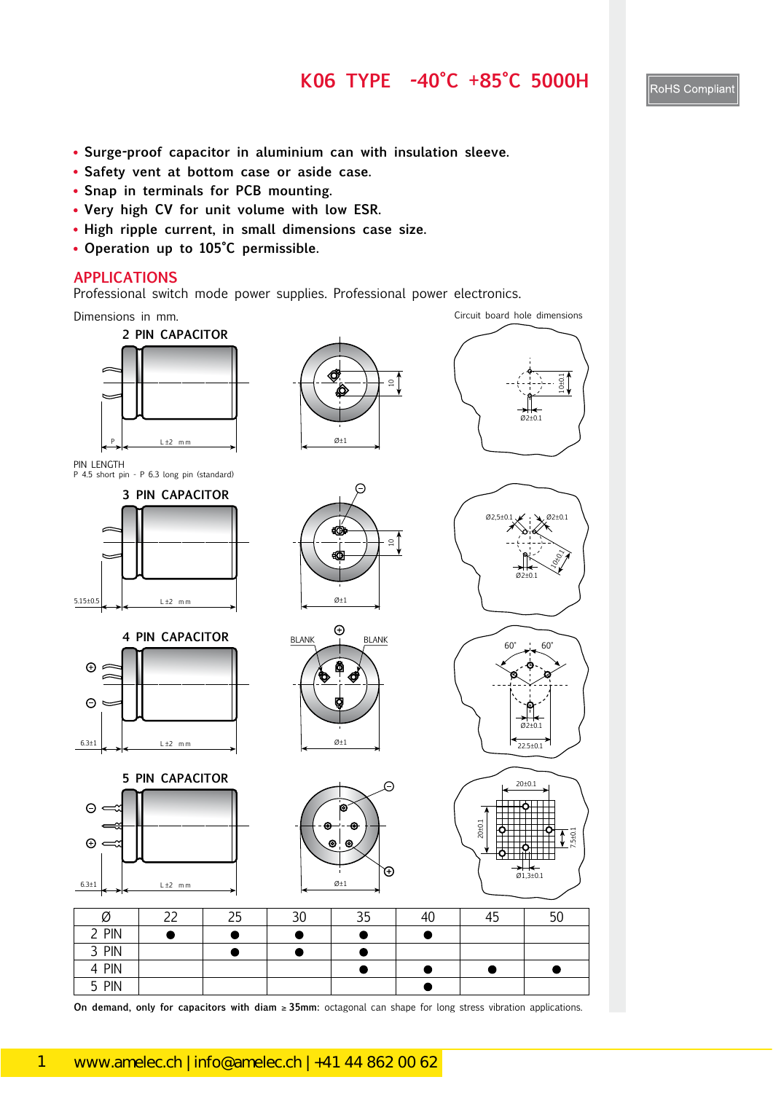#### **K06 TYPE -40°C +85°C 5000H**

- **Surge-proof capacitor in aluminium can with insulation sleeve.**
- **Safety vent at bottom case or aside case.**
- **Snap in terminals for PCB mounting.**
- **Very high CV for unit volume with low ESR.**
- **High ripple current, in small dimensions case size.**
- **Operation up to 105°C permissible.**

#### **APPLICATIONS**

Professional switch mode power supplies. Professional power electronics.



**On demand, only for capacitors with diam** ≥ **35mm:** octagonal can shape for long stress vibration applications.

109<br>109<br>109 109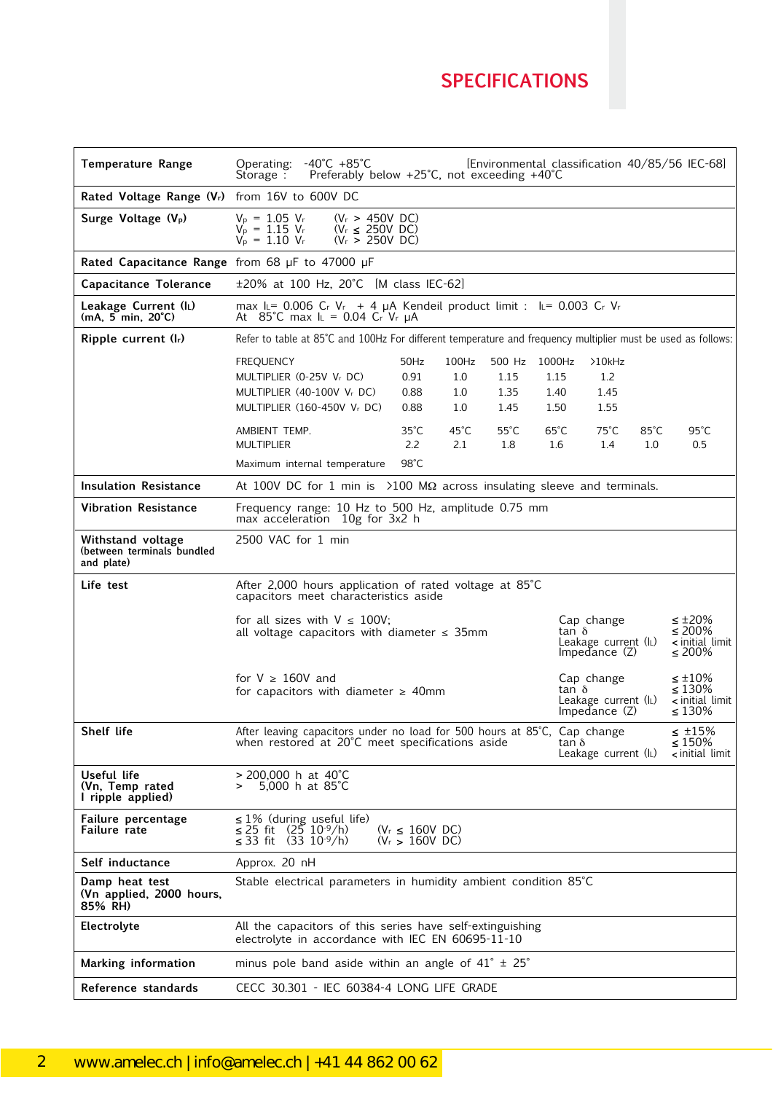# **SPECIFICATIONS SPECIFICATIONS**

| <b>Temperature Range</b>                                      | $-40^{\circ}$ C $+85^{\circ}$ C<br>Operating:<br>[Environmental classification 40/85/56 IEC-68]<br>Preferably below $+25^{\circ}$ C, not exceeding $+40^{\circ}$ C<br>Storage:                                                                                                                                                                                                                                         |  |
|---------------------------------------------------------------|------------------------------------------------------------------------------------------------------------------------------------------------------------------------------------------------------------------------------------------------------------------------------------------------------------------------------------------------------------------------------------------------------------------------|--|
| Rated Voltage Range (Vr) from 16V to 600V DC                  |                                                                                                                                                                                                                                                                                                                                                                                                                        |  |
| Surge Voltage (V <sub>p</sub> )                               | $V_p = 1.05 V_r$<br>$(V_r > 450V$ DC)<br>$V_P = 1.15 V_r$<br>$(V_r \le 250V$ DC)<br>$V_{p} = 1.10 V_{r}$<br>$(V_r > 250V \text{ DC})$                                                                                                                                                                                                                                                                                  |  |
| Rated Capacitance Range from 68 $\mu$ F to 47000 $\mu$ F      |                                                                                                                                                                                                                                                                                                                                                                                                                        |  |
| Capacitance Tolerance                                         | ±20% at 100 Hz, 20°C [M class IEC-62]                                                                                                                                                                                                                                                                                                                                                                                  |  |
| Leakage Current (IL)<br>$(mA, 5 min, 20^{\circ}C)$            | max $\mathbb{L}$ = 0.006 C <sub>r</sub> V <sub>r</sub> + 4 $\mu$ A Kendeil product limit : $\mathbb{L}$ = 0.003 C <sub>r</sub> V <sub>r</sub><br>At 85°C max $I_L = 0.04$ Cr Vr $\mu$ A                                                                                                                                                                                                                                |  |
| Ripple current (lr)                                           | Refer to table at 85°C and 100Hz For different temperature and frequency multiplier must be used as follows:                                                                                                                                                                                                                                                                                                           |  |
|                                                               | <b>FREQUENCY</b><br>50Hz<br>100Hz<br>500 Hz 1000Hz<br>>10kHz<br>MULTIPLIER (0-25V Vr DC)<br>0.91<br>1.0<br>1.15<br>1.2<br>1.15<br>MULTIPLIER (40-100V Vr DC)<br>1.45<br>0.88<br>$1.0\,$<br>1.35<br>1.40<br>MULTIPLIER (160-450V Vr DC)<br>0.88<br>1.55<br>$1.0\,$<br>1.45<br>1.50<br>$95^{\circ}$ C<br>35°C<br>$45^{\circ}$ C<br>$55^{\circ}$ C<br>$65^{\circ}$ C<br>$75^{\circ}$ C<br>$85^{\circ}$ C<br>AMBIENT TEMP. |  |
|                                                               | <b>MULTIPLIER</b><br>2.2<br>2.1<br>1.8<br>1.0<br>0.5<br>1.6<br>1.4<br>98°C<br>Maximum internal temperature                                                                                                                                                                                                                                                                                                             |  |
| <b>Insulation Resistance</b>                                  | At 100V DC for 1 min is $>100$ M $\Omega$ across insulating sleeve and terminals.                                                                                                                                                                                                                                                                                                                                      |  |
| <b>Vibration Resistance</b>                                   | Frequency range: 10 Hz to 500 Hz, amplitude 0.75 mm<br>max acceleration 10g for 3x2 h                                                                                                                                                                                                                                                                                                                                  |  |
| Withstand voltage<br>(between terminals bundled<br>and plate) | 2500 VAC for 1 min                                                                                                                                                                                                                                                                                                                                                                                                     |  |
| Life test                                                     | After 2,000 hours application of rated voltage at 85°C<br>capacitors meet characteristics aside                                                                                                                                                                                                                                                                                                                        |  |
|                                                               | $\leq \pm 20\%$<br>for all sizes with $V \leq 100V$ ;<br>Cap change<br>≤ 200%<br>tan δ<br>all voltage capacitors with diameter $\leq$ 35mm<br>< initial limit<br>Leakage current (IL)<br>Impedance $(Z)$<br>≤ 200%                                                                                                                                                                                                     |  |
|                                                               | for $V \geq 160V$ and<br>$\leq \pm 10\%$<br>Cap change<br>$\leq 130\%$<br>tan δ<br>for capacitors with diameter $\geq$ 40mm<br>Leakage current (IL)<br>< initial limit<br>Impedance $(Z)$<br>≤ 130%                                                                                                                                                                                                                    |  |
| Shelf life                                                    | After leaving capacitors under no load for 500 hours at 85°C, Cap change<br>$\leq$ ±15%<br>$\leq 150\%$<br>when restored at 20°C meet specifications aside<br>tan ò<br>Leakage current (IL)<br><initial limit<="" th=""><th></th></initial>                                                                                                                                                                            |  |
| Useful life<br>(Vn, Temp rated<br>I ripple applied)           | $>$ 200,000 h at 40°C<br>5,000 h at $85^{\circ}$ C                                                                                                                                                                                                                                                                                                                                                                     |  |
| Failure percentage<br>Failure rate                            | $\leq$ 1% (during useful life)<br>$\leq$ 25 fit (25 10 <sup>-9</sup> /h)<br>≤ 33 fit (33 10 <sup>-9</sup> /h)<br>$(V_r \leq 160V$ DC)<br>$(V_r > 160V$ DC)                                                                                                                                                                                                                                                             |  |
| Self inductance                                               | Approx. 20 nH                                                                                                                                                                                                                                                                                                                                                                                                          |  |
| Damp heat test<br>(Vn applied, 2000 hours,<br>85% RH)         | Stable electrical parameters in humidity ambient condition 85°C                                                                                                                                                                                                                                                                                                                                                        |  |
| Electrolyte                                                   | All the capacitors of this series have self-extinguishing<br>electrolyte in accordance with IEC EN 60695-11-10                                                                                                                                                                                                                                                                                                         |  |
| <b>Marking information</b>                                    | minus pole band aside within an angle of $41^{\circ} \pm 25^{\circ}$                                                                                                                                                                                                                                                                                                                                                   |  |
|                                                               |                                                                                                                                                                                                                                                                                                                                                                                                                        |  |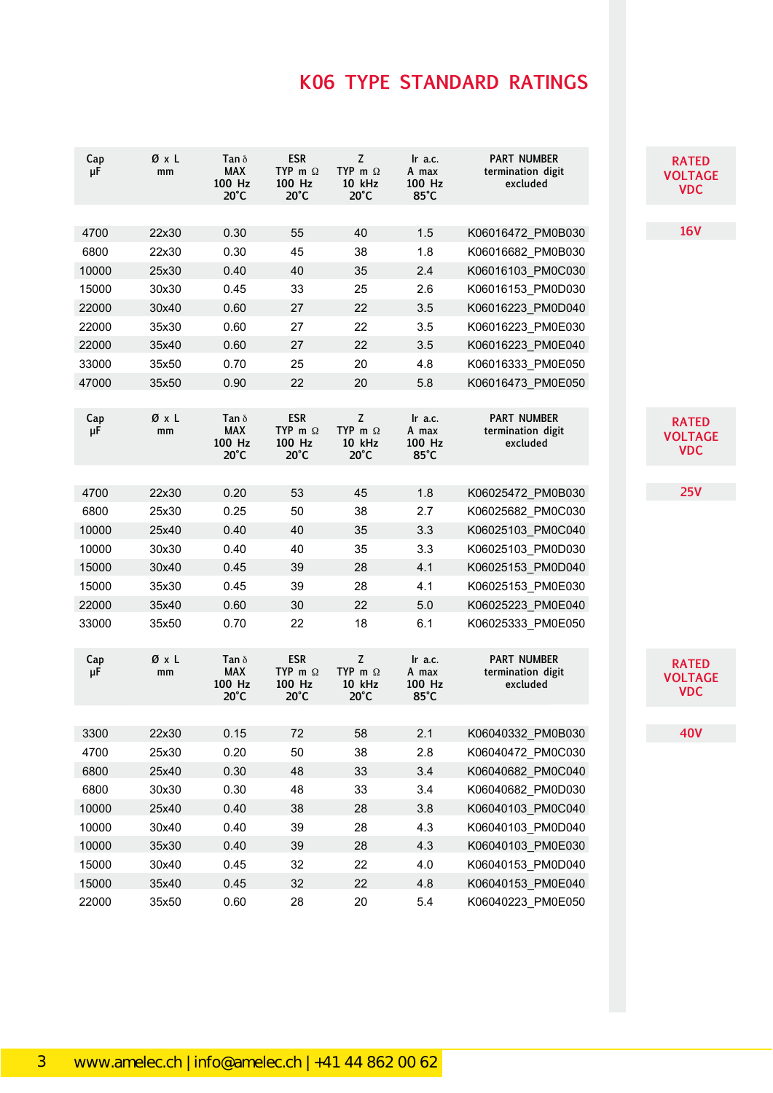| Cap<br>μF    | ØxL<br>mm | Tan $\delta$<br><b>MAX</b><br>100 Hz<br>$20^{\circ}$ C | <b>ESR</b><br>TYP m $\Omega$<br>100 Hz<br>$20^{\circ}$ C | Z<br>TYP m $\Omega$<br>10 kHz<br>$20^{\circ}$ C           | $\ln$ a.c.<br>A max<br>100 Hz<br>$85^{\circ}$ C | <b>PART NUMBER</b><br>termination digit<br>excluded | <b>RATED</b><br><b>VOLTAGE</b><br><b>VDC</b> |
|--------------|-----------|--------------------------------------------------------|----------------------------------------------------------|-----------------------------------------------------------|-------------------------------------------------|-----------------------------------------------------|----------------------------------------------|
|              |           |                                                        |                                                          |                                                           |                                                 |                                                     | <b>16V</b>                                   |
| 4700<br>6800 | 22x30     | 0.30<br>0.30                                           | 55<br>45                                                 | 40<br>38                                                  | 1.5<br>1.8                                      | K06016472_PM0B030                                   |                                              |
|              | 22x30     |                                                        |                                                          |                                                           |                                                 | K06016682 PM0B030                                   |                                              |
| 10000        | 25x30     | 0.40                                                   | 40                                                       | 35                                                        | 2.4                                             | K06016103 PM0C030                                   |                                              |
| 15000        | 30x30     | 0.45                                                   | 33                                                       | 25                                                        | 2.6                                             | K06016153_PM0D030                                   |                                              |
| 22000        | 30x40     | 0.60                                                   | 27                                                       | 22                                                        | 3.5                                             | K06016223 PM0D040                                   |                                              |
| 22000        | 35x30     | 0.60                                                   | 27                                                       | 22                                                        | 3.5                                             | K06016223 PM0E030                                   |                                              |
| 22000        | 35x40     | 0.60                                                   | 27                                                       | 22                                                        | 3.5                                             | K06016223_PM0E040                                   |                                              |
| 33000        | 35x50     | 0.70                                                   | 25                                                       | 20                                                        | 4.8                                             | K06016333_PM0E050                                   |                                              |
| 47000        | 35x50     | 0.90                                                   | 22                                                       | 20                                                        | 5.8                                             | K06016473_PM0E050                                   |                                              |
| Cap<br>μF    | ØxL<br>mm | Tan $\delta$<br><b>MAX</b><br>100 Hz<br>$20^{\circ}$ C | <b>ESR</b><br>TYP m $\Omega$<br>100 Hz<br>$20^{\circ}$ C | $\mathsf Z$<br>TYP m $\Omega$<br>10 kHz<br>$20^{\circ}$ C | Ir a.c.<br>A max<br>100 Hz<br>85°C              | <b>PART NUMBER</b><br>termination digit<br>excluded | <b>RATED</b><br><b>VOLTAGE</b><br><b>VDC</b> |
|              |           |                                                        |                                                          |                                                           |                                                 |                                                     |                                              |
| 4700         | 22x30     | 0.20                                                   | 53                                                       | 45                                                        | 1.8                                             | K06025472 PM0B030                                   | 25V                                          |
| 6800         | 25x30     | 0.25                                                   | 50                                                       | 38                                                        | 2.7                                             | K06025682_PM0C030                                   |                                              |
| 10000        | 25x40     | 0.40                                                   | 40                                                       | 35                                                        | 3.3                                             | K06025103 PM0C040                                   |                                              |
| 10000        | 30x30     | 0.40                                                   | 40                                                       | 35                                                        | 3.3                                             | K06025103 PM0D030                                   |                                              |
| 15000        | 30x40     | 0.45                                                   | 39                                                       | 28                                                        | 4.1                                             | K06025153_PM0D040                                   |                                              |
| 15000        | 35x30     | 0.45                                                   | 39                                                       | 28                                                        | 4.1                                             | K06025153_PM0E030                                   |                                              |
| 22000        | 35x40     | 0.60                                                   | 30                                                       | 22                                                        | $5.0$                                           | K06025223_PM0E040                                   |                                              |
| 33000        | 35x50     | 0.70                                                   | 22                                                       | 18                                                        | 6.1                                             | K06025333_PM0E050                                   |                                              |
| Cap<br>μF    | ØxL<br>mm | Tan $\delta$<br><b>MAX</b><br>100 Hz<br>$20^{\circ}$ C | <b>ESR</b><br>TYP m $\Omega$<br>100 Hz<br>$20^{\circ}$ C | $\mathsf Z$<br>TYP m $\Omega$<br>10 kHz<br>$20^{\circ}$ C | Ir a.c.<br>A max<br>100 Hz<br>$85^{\circ}$ C    | <b>PART NUMBER</b><br>termination digit<br>excluded | <b>RATED</b><br><b>VOLTAGE</b><br><b>VDC</b> |
|              |           |                                                        |                                                          |                                                           |                                                 |                                                     |                                              |
| 3300         | 22x30     | 0.15                                                   | 72                                                       | 58                                                        | 2.1                                             | K06040332_PM0B030                                   | <b>40V</b>                                   |
| 4700         | 25x30     | 0.20                                                   | 50                                                       | 38                                                        | 2.8                                             | K06040472_PM0C030                                   |                                              |
| 6800         | 25x40     | 0.30                                                   | 48                                                       | 33                                                        | 3.4                                             | K06040682 PM0C040                                   |                                              |
| 6800         | 30x30     | 0.30                                                   | 48                                                       | 33                                                        | 3.4                                             | K06040682 PM0D030                                   |                                              |
| 10000        | 25x40     | 0.40                                                   | 38                                                       | 28                                                        | 3.8                                             | K06040103_PM0C040                                   |                                              |
| 10000        | 30x40     | 0.40                                                   | 39                                                       | 28                                                        | 4.3                                             | K06040103_PM0D040                                   |                                              |
| 10000        | 35x30     | 0.40                                                   | 39                                                       | 28                                                        | 4.3                                             | K06040103 PM0E030                                   |                                              |
| 15000        | 30x40     | 0.45                                                   | 32                                                       | 22                                                        | 4.0                                             | K06040153 PM0D040                                   |                                              |
| 15000        | 35x40     | 0.45                                                   | 32                                                       | 22                                                        | 4.8                                             | K06040153 PM0E040                                   |                                              |
| 22000        | 35x50     | 0.60                                                   | 28                                                       | 20                                                        | 5.4                                             | K06040223_PM0E050                                   |                                              |

111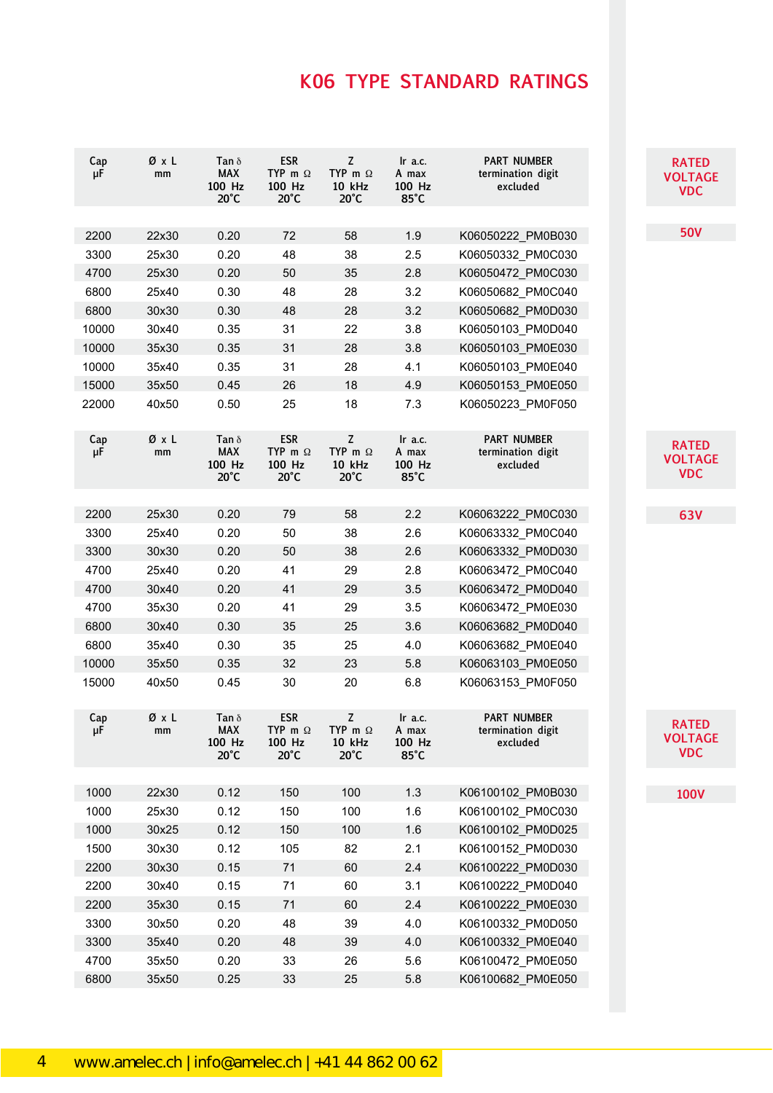| Cap<br>μF | ØxL<br>mm | Tan $\delta$<br><b>MAX</b><br>100 Hz<br>$20^{\circ}$ C | <b>ESR</b><br>TYP m $\Omega$<br>100 Hz<br>$20^{\circ}$ C | Z<br>TYP m $\Omega$<br>10 kHz<br>$20^{\circ}$ C        | $\ln$ a.c.<br>A max<br>100 Hz<br>$85^{\circ}$ C | <b>PART NUMBER</b><br>termination digit<br>excluded | <b>RATED</b><br><b>VOLTAGE</b><br><b>VDC</b> |
|-----------|-----------|--------------------------------------------------------|----------------------------------------------------------|--------------------------------------------------------|-------------------------------------------------|-----------------------------------------------------|----------------------------------------------|
|           |           |                                                        |                                                          |                                                        |                                                 |                                                     |                                              |
| 2200      | 22x30     | 0.20                                                   | 72                                                       | 58                                                     | 1.9                                             | K06050222 PM0B030                                   | <b>50V</b>                                   |
| 3300      | 25x30     | 0.20                                                   | 48                                                       | 38                                                     | 2.5                                             | K06050332_PM0C030                                   |                                              |
| 4700      | 25x30     | 0.20                                                   | 50                                                       | 35                                                     | 2.8                                             | K06050472_PM0C030                                   |                                              |
| 6800      | 25x40     | 0.30                                                   | 48                                                       | 28                                                     | 3.2                                             | K06050682_PM0C040                                   |                                              |
| 6800      | 30x30     | 0.30                                                   | 48                                                       | 28                                                     | 3.2                                             | K06050682_PM0D030                                   |                                              |
| 10000     | 30x40     | 0.35                                                   | 31                                                       | 22                                                     | 3.8                                             | K06050103_PM0D040                                   |                                              |
| 10000     | 35x30     | 0.35                                                   | 31                                                       | 28                                                     | 3.8                                             | K06050103 PM0E030                                   |                                              |
| 10000     | 35x40     | 0.35                                                   | 31                                                       | 28                                                     | 4.1                                             | K06050103_PM0E040                                   |                                              |
| 15000     | 35x50     | 0.45                                                   | 26                                                       | 18                                                     | 4.9                                             | K06050153_PM0E050                                   |                                              |
| 22000     | 40x50     | 0.50                                                   | 25                                                       | 18                                                     | 7.3                                             | K06050223_PM0F050                                   |                                              |
| Cap<br>μF | ØxL<br>mm | Tan $\delta$<br><b>MAX</b><br>100 Hz<br>$20^{\circ}$ C | <b>ESR</b><br>TYP m $\Omega$<br>100 Hz<br>$20^{\circ}$ C | Z<br>TYP m $\Omega$<br>10 kHz<br>$20^{\circ}$ C        | $\ln$ a.c.<br>A max<br>100 Hz<br>$85^{\circ}$ C | <b>PART NUMBER</b><br>termination digit<br>excluded | <b>RATED</b><br><b>VOLTAGE</b><br><b>VDC</b> |
|           |           |                                                        |                                                          |                                                        |                                                 |                                                     |                                              |
| 2200      | 25x30     | 0.20                                                   | 79                                                       | 58                                                     | 2.2                                             | K06063222_PM0C030                                   | <b>63V</b>                                   |
| 3300      | 25x40     | 0.20                                                   | 50                                                       | 38                                                     | 2.6                                             | K06063332 PM0C040                                   |                                              |
| 3300      | 30x30     | 0.20                                                   | 50                                                       | 38                                                     | 2.6                                             | K06063332_PM0D030                                   |                                              |
| 4700      | 25x40     | 0.20                                                   | 41                                                       | 29                                                     | 2.8                                             | K06063472_PM0C040                                   |                                              |
| 4700      | 30x40     | 0.20                                                   | 41                                                       | 29                                                     | 3.5                                             | K06063472_PM0D040                                   |                                              |
| 4700      | 35x30     | 0.20                                                   | 41                                                       | 29                                                     | 3.5                                             | K06063472_PM0E030                                   |                                              |
| 6800      | 30x40     | 0.30                                                   | 35                                                       | 25                                                     | 3.6                                             | K06063682_PM0D040                                   |                                              |
| 6800      | 35x40     | 0.30                                                   | 35                                                       | 25                                                     | 4.0                                             | K06063682_PM0E040                                   |                                              |
| 10000     | 35x50     | 0.35                                                   | 32                                                       | 23                                                     | 5.8                                             | K06063103_PM0E050                                   |                                              |
| 15000     | 40x50     | 0.45                                                   | 30                                                       | 20                                                     | 6.8                                             | K06063153_PM0F050                                   |                                              |
| Cap<br>μг | ØxL<br>шш | Tan $\delta$<br><b>MAX</b><br>100 Hz<br>$20^{\circ}$ C | <b>ESR</b><br>TYP m $\Omega$<br>100 Hz<br>$20^{\circ}$ C | Z<br>TYP m $\Omega$<br><b>10 kHz</b><br>$20^{\circ}$ C | Ir a.c.<br>A max<br>100 Hz<br>85°C              | <b>PART NUMBER</b><br>termination digit<br>excluded | <b>RATED</b><br><b>VOLTAGE</b><br><b>VDC</b> |
|           |           |                                                        |                                                          |                                                        |                                                 |                                                     |                                              |
| 1000      | 22x30     | 0.12                                                   | 150                                                      | 100                                                    | 1.3                                             | K06100102_PM0B030                                   | <b>100V</b>                                  |
| 1000      | 25x30     | 0.12                                                   | 150                                                      | 100                                                    | 1.6                                             | K06100102 PM0C030                                   |                                              |
| 1000      | 30x25     | 0.12                                                   | 150                                                      | 100                                                    | 1.6                                             | K06100102 PM0D025                                   |                                              |
| 1500      | 30x30     | 0.12                                                   | 105                                                      | 82                                                     | 2.1                                             | K06100152_PM0D030                                   |                                              |
| 2200      | 30x30     | 0.15                                                   | 71                                                       | 60                                                     | 2.4                                             | K06100222 PM0D030                                   |                                              |
| 2200      | 30x40     | 0.15                                                   | 71                                                       | 60                                                     | 3.1                                             | K06100222_PM0D040                                   |                                              |
| 2200      | 35x30     | 0.15                                                   | 71                                                       | 60                                                     | 2.4                                             | K06100222 PM0E030                                   |                                              |
| 3300      | 30x50     | 0.20                                                   | 48                                                       | 39                                                     | 4.0                                             | K06100332 PM0D050                                   |                                              |
| 3300      | 35x40     | 0.20                                                   | 48                                                       | 39                                                     | 4.0                                             | K06100332_PM0E040                                   |                                              |
| 4700      | 35x50     | 0.20                                                   | 33                                                       | 26                                                     | 5.6                                             | K06100472 PM0E050                                   |                                              |
| 6800      | 35x50     | 0.25                                                   | 33                                                       | 25                                                     | 5.8                                             | K06100682_PM0E050                                   |                                              |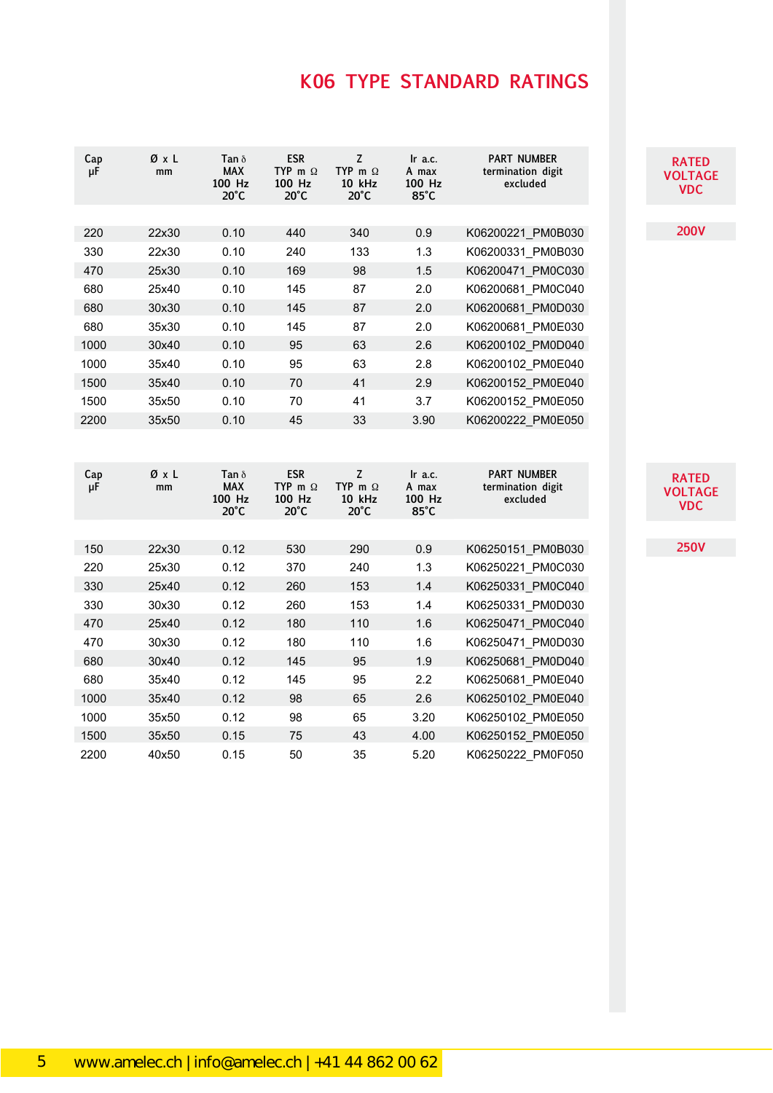| Cap<br>μF | ØχL<br>mm | Tan $\delta$<br><b>MAX</b><br>100 Hz<br>$20^{\circ}$ C | <b>ESR</b><br>TYP m $\Omega$<br>100 Hz<br>$20^{\circ}$ C | Z<br>TYP m $\Omega$<br>10 kHz<br>$20^{\circ}$ C | Ir a.c.<br>A max<br>100 Hz<br>$85^{\circ}$ C | <b>PART NUMBER</b><br>termination digit<br>excluded | <b>RATED</b><br><b>VOLTAGE</b><br><b>VDC</b> |
|-----------|-----------|--------------------------------------------------------|----------------------------------------------------------|-------------------------------------------------|----------------------------------------------|-----------------------------------------------------|----------------------------------------------|
|           |           |                                                        |                                                          |                                                 |                                              |                                                     | <b>200V</b>                                  |
| 220       | 22x30     | 0.10                                                   | 440                                                      | 340                                             | 0.9                                          | K06200221 PM0B030                                   |                                              |
| 330       | 22x30     | 0.10                                                   | 240                                                      | 133                                             | 1.3                                          | K06200331 PM0B030                                   |                                              |
| 470       | 25x30     | 0.10                                                   | 169                                                      | 98                                              | 1.5                                          | K06200471 PM0C030                                   |                                              |
| 680       | 25x40     | 0.10                                                   | 145                                                      | 87                                              | 2.0                                          | K06200681 PM0C040                                   |                                              |
| 680       | 30x30     | 0.10                                                   | 145                                                      | 87                                              | 2.0                                          | K06200681 PM0D030                                   |                                              |
| 680       | 35x30     | 0.10                                                   | 145                                                      | 87                                              | 2.0                                          | K06200681_PM0E030                                   |                                              |
| 1000      | 30x40     | 0.10                                                   | 95                                                       | 63                                              | 2.6                                          | K06200102 PM0D040                                   |                                              |
| 1000      | 35x40     | 0.10                                                   | 95                                                       | 63                                              | 2.8                                          | K06200102 PM0E040                                   |                                              |
| 1500      | 35x40     | 0.10                                                   | 70                                                       | 41                                              | 2.9                                          | K06200152 PM0E040                                   |                                              |
| 1500      | 35x50     | 0.10                                                   | 70                                                       | 41                                              | 3.7                                          | K06200152 PM0E050                                   |                                              |
| 2200      | 35x50     | 0.10                                                   | 45                                                       | 33                                              | 3.90                                         | K06200222 PM0E050                                   |                                              |
|           |           |                                                        |                                                          |                                                 |                                              |                                                     |                                              |
| Cap<br>μF | ØxL<br>mm | Tan $\delta$<br><b>MAX</b><br>100 Hz<br>$20^{\circ}$ C | <b>ESR</b><br>TYP m $\Omega$<br>100 Hz<br>$20^{\circ}$ C | Z<br>TYP m $\Omega$<br>10 kHz<br>$20^{\circ}$ C | Ir a.c.<br>A max<br>100 Hz<br>$85^{\circ}$ C | <b>PART NUMBER</b><br>termination digit<br>excluded | <b>RATED</b><br><b>VOLTAGE</b><br><b>VDC</b> |
|           |           |                                                        |                                                          |                                                 |                                              |                                                     |                                              |
| 150       | 22x30     | 0.12                                                   | 530                                                      | 290                                             | 0.9                                          | K06250151 PM0B030                                   | <b>250V</b>                                  |
| 220       | 25x30     | 0.12                                                   | 370                                                      | 240                                             | 1.3                                          | K06250221 PM0C030                                   |                                              |
| 330       | 25x40     | 0.12                                                   | 260                                                      | 153                                             | 1.4                                          | K06250331 PM0C040                                   |                                              |
| 330       | 30x30     | 0.12                                                   | 260                                                      | 153                                             | 1.4                                          | K06250331 PM0D030                                   |                                              |
| 470       | 25x40     | 0.12                                                   | 180                                                      | 110                                             | 1.6                                          | K06250471 PM0C040                                   |                                              |
| 470       | 30x30     | 0.12                                                   | 180                                                      | 110                                             | 1.6                                          | K06250471 PM0D030                                   |                                              |
| 680       | 30x40     | 0.12                                                   | 145                                                      | 95                                              | 1.9                                          | K06250681 PM0D040                                   |                                              |
| 680       | 35x40     | 0.12                                                   | 145                                                      | 95                                              | 2.2                                          | K06250681_PM0E040                                   |                                              |
| 1000      | 35x40     | 0.12                                                   | 98                                                       | 65                                              | 2.6                                          | K06250102_PM0E040                                   |                                              |
| 1000      | 35x50     | 0.12                                                   | 98                                                       | 65                                              | 3.20                                         | K06250102_PM0E050                                   |                                              |
| 1500      | 35x50     | 0.15                                                   | 75                                                       | 43                                              | 4.00                                         | K06250152_PM0E050                                   |                                              |
| 2200      | 40x50     | 0.15                                                   | 50                                                       | 35                                              | 5.20                                         | K06250222 PM0F050                                   |                                              |

113<br>113 - Johannes<br>113 - Johannes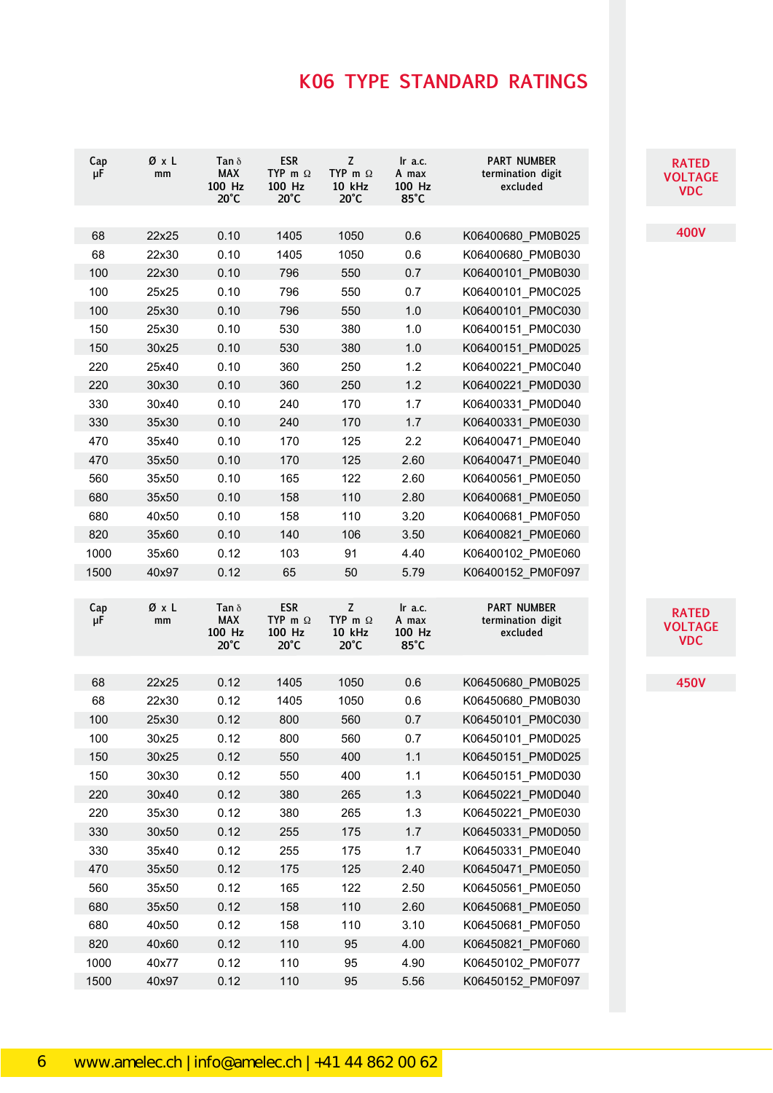| Cap<br>μF | ØxL<br>mm | Tan $\delta$<br><b>MAX</b><br>100 Hz<br>$20^{\circ}$ C | <b>ESR</b><br>TYP m $\Omega$<br>100 Hz<br>$20^{\circ}$ C | Z<br>TYP m $\Omega$<br>10 kHz<br>$20^{\circ}$ C | Ir $a.c.$<br>A max<br>100 Hz<br>$85^{\circ}$ C | <b>PART NUMBER</b><br>termination digit<br>excluded | <b>RATED</b><br><b>VOLTAGE</b><br><b>VDC</b> |
|-----------|-----------|--------------------------------------------------------|----------------------------------------------------------|-------------------------------------------------|------------------------------------------------|-----------------------------------------------------|----------------------------------------------|
|           |           |                                                        |                                                          |                                                 |                                                |                                                     |                                              |
| 68        | 22x25     | 0.10                                                   | 1405                                                     | 1050                                            | 0.6                                            | K06400680 PM0B025                                   | <b>400V</b>                                  |
| 68        | 22x30     | 0.10                                                   | 1405                                                     | 1050                                            | 0.6                                            | K06400680 PM0B030                                   |                                              |
| 100       | 22x30     | 0.10                                                   | 796                                                      | 550                                             | 0.7                                            | K06400101 PM0B030                                   |                                              |
| 100       | 25x25     | 0.10                                                   | 796                                                      | 550                                             | 0.7                                            | K06400101 PM0C025                                   |                                              |
| 100       | 25x30     | 0.10                                                   | 796                                                      | 550                                             | 1.0                                            | K06400101 PM0C030                                   |                                              |
| 150       | 25x30     | 0.10                                                   | 530                                                      | 380                                             | 1.0                                            | K06400151 PM0C030                                   |                                              |
| 150       | 30x25     | 0.10                                                   | 530                                                      | 380                                             | $1.0$                                          | K06400151 PM0D025                                   |                                              |
| 220       | 25x40     | 0.10                                                   | 360                                                      | 250                                             | $1.2$                                          | K06400221_PM0C040                                   |                                              |
| 220       | 30x30     | 0.10                                                   | 360                                                      | 250                                             | 1.2                                            | K06400221 PM0D030                                   |                                              |
| 330       | 30x40     | 0.10                                                   | 240                                                      | 170                                             | 1.7                                            | K06400331 PM0D040                                   |                                              |
| 330       | 35x30     | 0.10                                                   | 240                                                      | 170                                             | 1.7                                            | K06400331 PM0E030                                   |                                              |
| 470       | 35x40     | 0.10                                                   | 170                                                      | 125                                             | 2.2                                            | K06400471 PM0E040                                   |                                              |
| 470       | 35x50     | 0.10                                                   | 170                                                      | 125                                             | 2.60                                           | K06400471 PM0E040                                   |                                              |
| 560       | 35x50     | 0.10                                                   | 165                                                      | 122                                             | 2.60                                           | K06400561 PM0E050                                   |                                              |
| 680       | 35x50     | 0.10                                                   | 158                                                      | 110                                             | 2.80                                           | K06400681 PM0E050                                   |                                              |
| 680       | 40x50     | 0.10                                                   | 158                                                      | 110                                             | 3.20                                           | K06400681_PM0F050                                   |                                              |
| 820       | 35x60     | 0.10                                                   | 140                                                      | 106                                             | 3.50                                           | K06400821 PM0E060                                   |                                              |
| 1000      | 35x60     | 0.12                                                   | 103                                                      | 91                                              | 4.40                                           | K06400102_PM0E060                                   |                                              |
| 1500      | 40x97     | 0.12                                                   | 65                                                       | 50                                              | 5.79                                           | K06400152_PM0F097                                   |                                              |
| Cap<br>μF | ØxL<br>mm | Tan $\delta$<br><b>MAX</b><br>100 Hz<br>$20^{\circ}$ C | <b>ESR</b><br>TYP m $\Omega$<br>100 Hz<br>$20^{\circ}$ C | Z<br>TYP m $\Omega$<br>10 kHz<br>$20^{\circ}$ C | $lr$ a.c.<br>A max<br>100 Hz<br>$85^{\circ}$ C | <b>PART NUMBER</b><br>termination digit<br>excluded | <b>RATED</b><br><b>VOLTAGE</b><br><b>VDC</b> |
|           |           |                                                        |                                                          |                                                 |                                                |                                                     |                                              |
| 68        | 22x25     | 0.12                                                   | 1405                                                     | 1050                                            | 0.6                                            | K06450680 PM0B025                                   | <b>450V</b>                                  |
| 68        | 22x30     | 0.12                                                   | 1405                                                     | 1050                                            | 0.6                                            | K06450680 PM0B030                                   |                                              |
| 100       | 25x30     | 0.12                                                   | 800                                                      | 560                                             | 0.7                                            | K06450101 PM0C030                                   |                                              |
| 100       | 30x25     | 0.12                                                   | 800                                                      | 560                                             | 0.7                                            | K06450101_PM0D025                                   |                                              |
| 150       | 30x25     | 0.12                                                   | 550                                                      | 400                                             | 1.1                                            | K06450151 PM0D025                                   |                                              |
| 150       | 30x30     | 0.12                                                   | 550                                                      | 400                                             | $1.1$                                          | K06450151 PM0D030                                   |                                              |
| 220       | 30x40     | 0.12                                                   | 380                                                      | 265                                             | 1.3                                            | K06450221_PM0D040                                   |                                              |
| 220       | 35x30     | 0.12                                                   | 380                                                      | 265                                             | 1.3                                            | K06450221 PM0E030                                   |                                              |
| 330       | 30x50     | 0.12                                                   | 255                                                      | 175                                             | 1.7                                            | K06450331 PM0D050                                   |                                              |
| 330       | 35x40     | 0.12                                                   | 255                                                      | 175                                             | 1.7                                            | K06450331 PM0E040                                   |                                              |
| 470       | 35x50     | 0.12                                                   | 175                                                      | 125                                             | 2.40                                           | K06450471 PM0E050                                   |                                              |
| 560       | 35x50     | 0.12                                                   | 165                                                      | 122                                             | 2.50                                           | K06450561 PM0E050                                   |                                              |
| 680       | 35x50     | 0.12                                                   | 158                                                      | 110                                             | 2.60                                           | K06450681 PM0E050                                   |                                              |
| 680       | 40x50     | 0.12                                                   | 158                                                      | 110                                             | 3.10                                           | K06450681 PM0F050                                   |                                              |
| 820       | 40x60     | 0.12                                                   | 110                                                      | 95                                              | 4.00                                           | K06450821 PM0F060                                   |                                              |
| 1000      | 40x77     | 0.12                                                   | 110                                                      | 95                                              | 4.90                                           | K06450102 PM0F077                                   |                                              |
|           |           |                                                        |                                                          |                                                 |                                                |                                                     |                                              |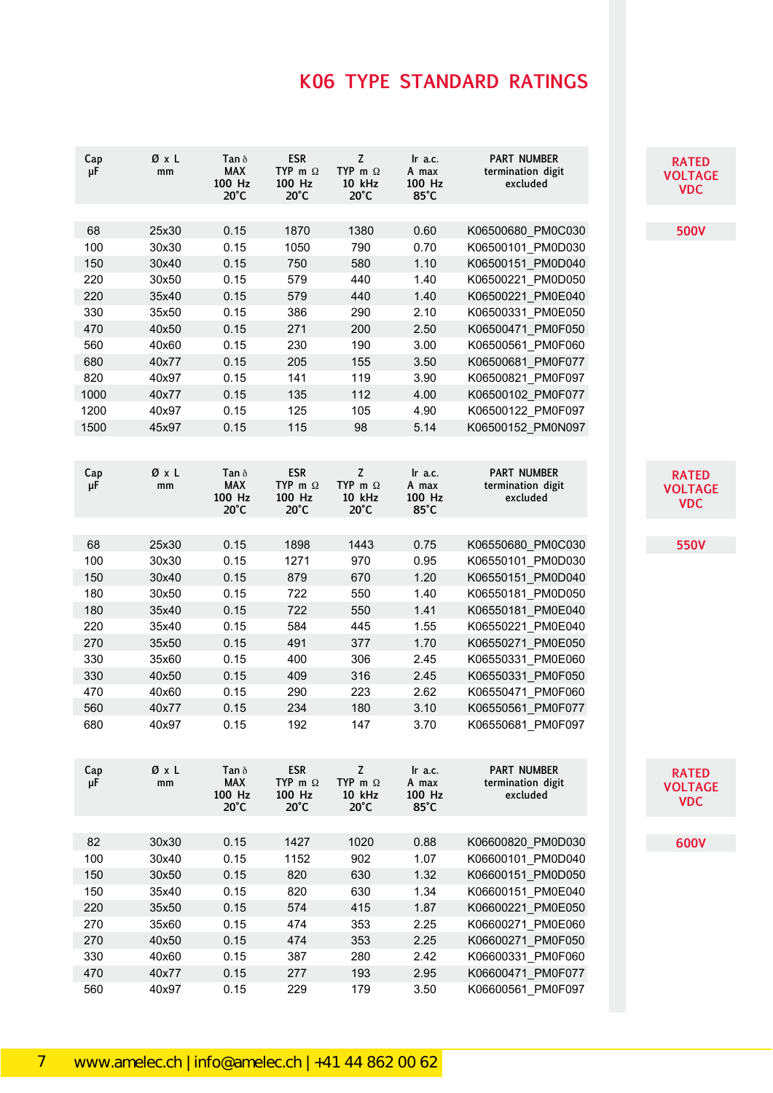| Cap<br>μF | ØxL<br>mm | Tan $\delta$<br><b>MAX</b><br>100 Hz<br>$20^{\circ}$ C | <b>ESR</b><br>TYP m $\Omega$<br>100 Hz<br>$20^{\circ}$ C | $\mathsf Z$<br>TYP m $\Omega$<br><b>10 kHz</b><br>$20^{\circ}$ C | $\ln$ a.c.<br>A max<br>100 Hz<br>85°C        | <b>PART NUMBER</b><br>termination digit<br>excluded |
|-----------|-----------|--------------------------------------------------------|----------------------------------------------------------|------------------------------------------------------------------|----------------------------------------------|-----------------------------------------------------|
|           |           |                                                        |                                                          |                                                                  |                                              |                                                     |
| 68        | 25x30     | 0.15                                                   | 1870                                                     | 1380                                                             | 0.60                                         | K06500680 PM0C030                                   |
| 100       | 30x30     | 0.15                                                   | 1050                                                     | 790                                                              | 0.70                                         | K06500101 PM0D030                                   |
| 150       | 30x40     | 0.15                                                   | 750                                                      | 580                                                              | 1.10                                         | K06500151 PM0D040                                   |
| 220       | 30x50     | 0.15                                                   | 579                                                      | 440                                                              | 1.40                                         | K06500221 PM0D050                                   |
| 220       | 35x40     | 0.15                                                   | 579                                                      | 440                                                              | 1.40                                         | K06500221 PM0E040                                   |
| 330       | 35x50     | 0.15                                                   | 386                                                      | 290                                                              | 2.10                                         | K06500331 PM0E050                                   |
| 470       | 40x50     | 0.15                                                   | 271                                                      | 200                                                              | 2.50                                         | K06500471 PM0F050                                   |
| 560       | 40x60     | 0.15                                                   | 230                                                      | 190                                                              | 3.00                                         | K06500561_PM0F060                                   |
| 680       | 40x77     | 0.15                                                   | 205                                                      | 155                                                              | 3.50                                         | K06500681_PM0F077                                   |
| 820       | 40x97     | 0.15                                                   | 141                                                      | 119                                                              | 3.90                                         | K06500821_PM0F097                                   |
| 1000      | 40x77     | 0.15                                                   | 135                                                      | 112                                                              | 4.00                                         | K06500102_PM0F077                                   |
| 1200      | 40x97     | 0.15                                                   | 125                                                      | 105                                                              | 4.90                                         | K06500122_PM0F097                                   |
| 1500      | 45x97     | 0.15                                                   | 115                                                      | 98                                                               | 5.14                                         | K06500152_PM0N097                                   |
| Cap<br>μF | ØxL<br>mm | Tan $\delta$<br><b>MAX</b><br>100 Hz<br>$20^{\circ}$ C | <b>ESR</b><br>TYP m $\Omega$<br>100 Hz<br>$20^{\circ}$ C | $\mathsf Z$<br>TYP m $\Omega$<br>10 kHz<br>$20^{\circ}$ C        | Ir a.c.<br>A max<br>100 Hz<br>$85^{\circ}$ C | <b>PART NUMBER</b><br>termination digit<br>excluded |
|           |           |                                                        |                                                          |                                                                  |                                              |                                                     |
| 68        | 25x30     | 0.15                                                   | 1898                                                     | 1443                                                             | 0.75                                         | K06550680 PM0C030                                   |
| 100       | 30x30     | 0.15                                                   | 1271                                                     | 970                                                              | 0.95                                         | K06550101 PM0D030                                   |
| 150       | 30x40     | 0.15                                                   | 879                                                      | 670                                                              | 1.20                                         | K06550151_PM0D040                                   |
| 180       | 30x50     | 0.15                                                   | 722                                                      | 550                                                              | 1.40                                         | K06550181 PM0D050                                   |
| 180       | 35x40     | 0.15                                                   | 722                                                      | 550                                                              | 1.41                                         | K06550181 PM0E040                                   |
| 220       | 35x40     | 0.15                                                   | 584                                                      | 445                                                              | 1.55                                         | K06550221 PM0E040                                   |
| 270       | 35x50     | 0.15                                                   | 491                                                      | 377                                                              | 1.70                                         | K06550271 PM0E050                                   |
| 330       | 35x60     | 0.15                                                   | 400                                                      | 306                                                              | 2.45                                         | K06550331_PM0E060                                   |
| 330       | 40x50     | 0.15                                                   | 409                                                      | 316                                                              | 2.45                                         | K06550331 PM0F050                                   |
| 470       | 40x60     | 0.15                                                   | 290                                                      | 223                                                              | 2.62                                         | K06550471 PM0F060                                   |
| 560       | 40x77     | 0.15                                                   | 234                                                      | 180                                                              | 3.10                                         | K06550561_PM0F077                                   |
| 680       | 40x97     | 0.15                                                   | 192                                                      | 147                                                              | 3.70                                         | K06550681_PM0F097                                   |
| Cap<br>μF | ØxL<br>mm | Tan $\delta$<br><b>MAX</b><br>100 Hz<br>$20^{\circ}$ C | <b>ESR</b><br>TYP m $\Omega$<br>100 Hz<br>$20^{\circ}$ C | $\mathsf Z$<br>TYP m $\Omega$<br>10 kHz<br>$20^{\circ}$ C        | Ir a.c.<br>A max<br>100 Hz<br>$85^{\circ}$ C | <b>PART NUMBER</b><br>termination digit<br>excluded |
|           |           |                                                        |                                                          |                                                                  |                                              |                                                     |
| 82        | 30x30     | 0.15                                                   | 1427                                                     | 1020                                                             | 0.88                                         | K06600820 PM0D030                                   |
| 100       | 30x40     | 0.15                                                   | 1152                                                     | 902                                                              | 1.07                                         | K06600101 PM0D040                                   |
| 150       | 30x50     | 0.15                                                   | 820                                                      | 630                                                              | 1.32                                         | K06600151 PM0D050                                   |
| 150       | 35x40     | 0.15                                                   | 820                                                      | 630                                                              | 1.34                                         | K06600151 PM0E040                                   |
| 220       | 35x50     | 0.15                                                   | 574                                                      | 415                                                              | 1.87                                         | K06600221 PM0E050                                   |
| 270       | 35x60     | 0.15                                                   | 474                                                      | 353                                                              | 2.25                                         | K06600271 PM0E060                                   |
| 270       | 40x50     | 0.15                                                   | 474                                                      | 353                                                              | 2.25                                         | K06600271_PM0F050                                   |
| 330       | 40x60     | 0.15                                                   | 387                                                      | 280                                                              | 2.42                                         | K06600331 PM0F060                                   |
| 470       | 40x77     | 0.15                                                   | 277                                                      | 193                                                              | 2.95                                         | K06600471 PM0F077                                   |
| 560       | 40x97     | 0.15                                                   | 229                                                      | 179                                                              | 3.50                                         | K06600561 PM0F097                                   |

115<br>115 115<br>115 115 115